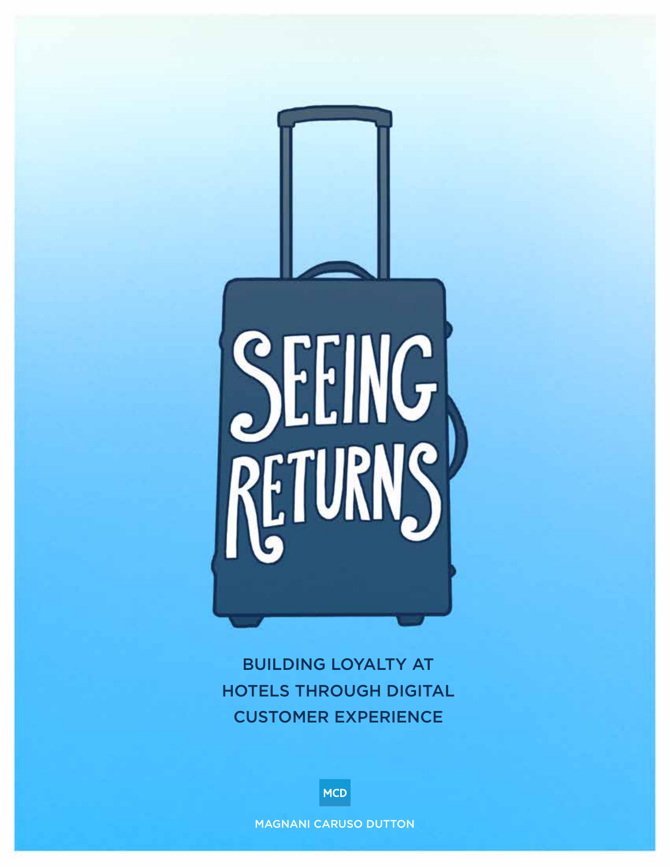

BUILDING LOYALTY AT HOTELS THROUGH DIGITAL CUSTOMER EXPERIENCE

**MCD** 

MAGNANI CARUSO DUTTON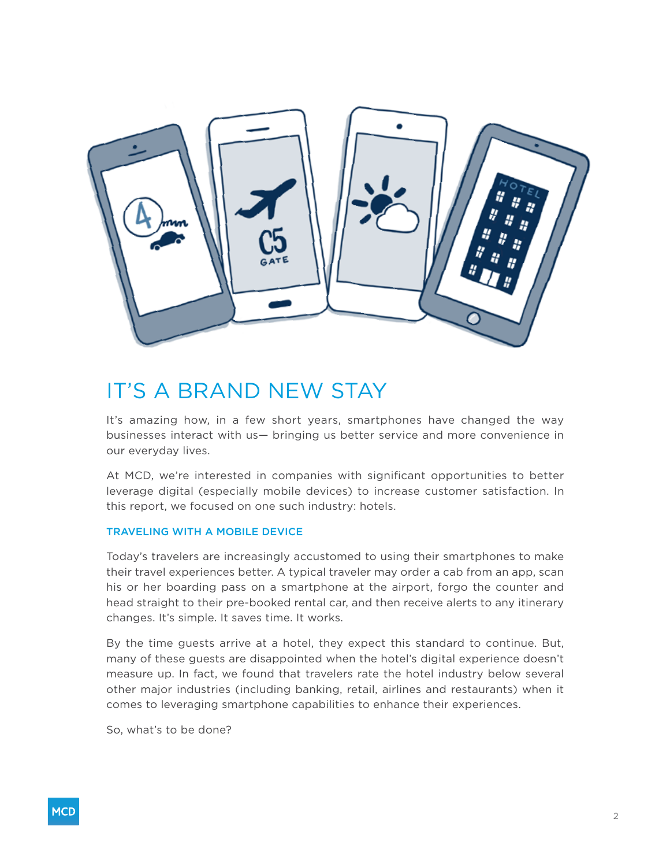

# IT'S A BRAND NEW STAY

It's amazing how, in a few short years, smartphones have changed the way businesses interact with us— bringing us better service and more convenience in our everyday lives.

At MCD, we're interested in companies with significant opportunities to better leverage digital (especially mobile devices) to increase customer satisfaction. In this report, we focused on one such industry: hotels.

### TRAVELING WITH A MOBILE DEVICE

Today's travelers are increasingly accustomed to using their smartphones to make their travel experiences better. A typical traveler may order a cab from an app, scan his or her boarding pass on a smartphone at the airport, forgo the counter and head straight to their pre-booked rental car, and then receive alerts to any itinerary changes. It's simple. It saves time. It works.

By the time guests arrive at a hotel, they expect this standard to continue. But, many of these guests are disappointed when the hotel's digital experience doesn't measure up. In fact, we found that travelers rate the hotel industry below several other major industries (including banking, retail, airlines and restaurants) when it comes to leveraging smartphone capabilities to enhance their experiences.

So, what's to be done?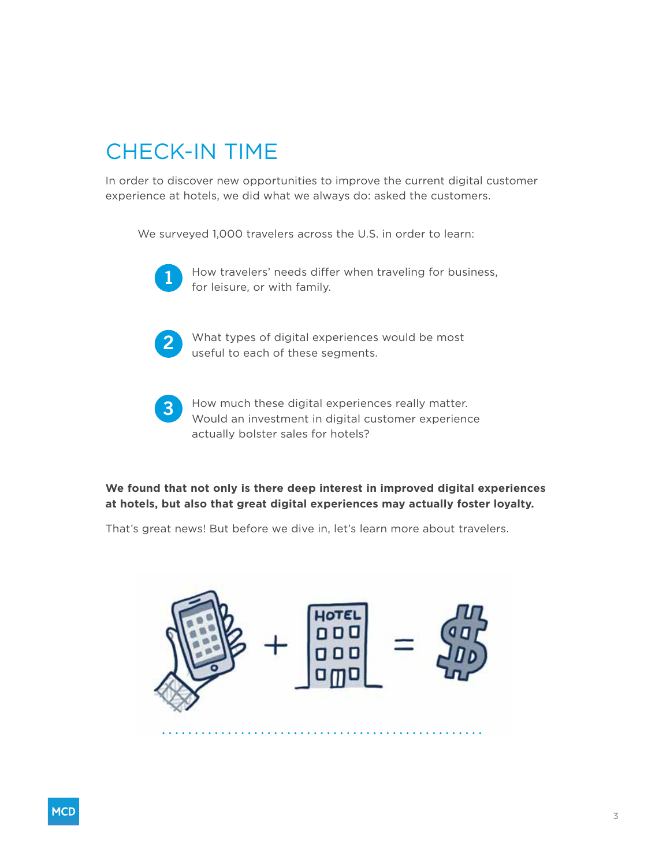# CHECK-IN TIME

In order to discover new opportunities to improve the current digital customer experience at hotels, we did what we always do: asked the customers.

We surveyed 1,000 travelers across the U.S. in order to learn:



How travelers' needs differ when traveling for business, for leisure, or with family.



What types of digital experiences would be most useful to each of these segments.



How much these digital experiences really matter. Would an investment in digital customer experience actually bolster sales for hotels?

### **We found that not only is there deep interest in improved digital experiences at hotels, but also that great digital experiences may actually foster loyalty.**

That's great news! But before we dive in, let's learn more about travelers.

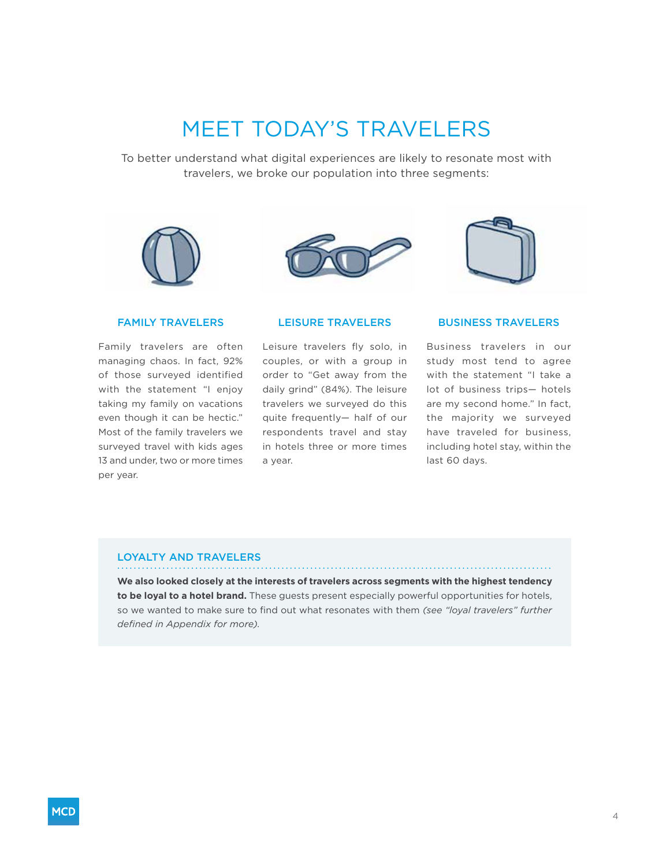# MEET TODAY'S TRAVELERS

To better understand what digital experiences are likely to resonate most with travelers, we broke our population into three segments:







### FAMILY TRAVELERS

Family travelers are often managing chaos. In fact, 92% of those surveyed identified with the statement "I enjoy taking my family on vacations even though it can be hectic." Most of the family travelers we surveyed travel with kids ages 13 and under, two or more times per year.

### LEISURE TRAVELERS

Leisure travelers fly solo, in couples, or with a group in order to "Get away from the daily grind" (84%). The leisure travelers we surveyed do this quite frequently— half of our respondents travel and stay in hotels three or more times a year.

### BUSINESS TRAVELERS

Business travelers in our study most tend to agree with the statement "I take a lot of business trips— hotels are my second home." In fact, the majority we surveyed have traveled for business, including hotel stay, within the last 60 days.

#### LOYALTY AND TRAVELERS

**We also looked closely at the interests of travelers across segments with the highest tendency to be loyal to a hotel brand.** These guests present especially powerful opportunities for hotels, so we wanted to make sure to find out what resonates with them *(see "loyal travelers" further defined in Appendix for more).*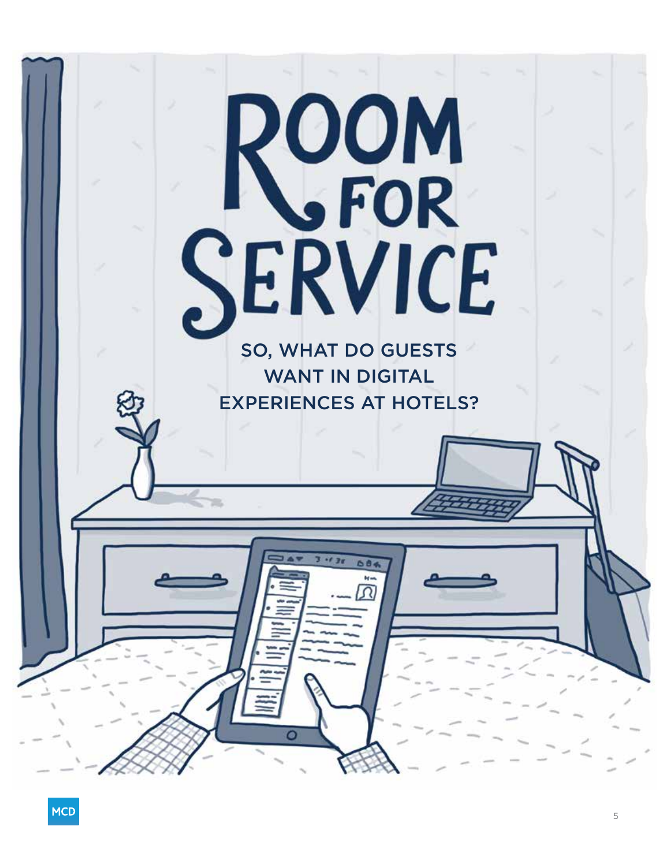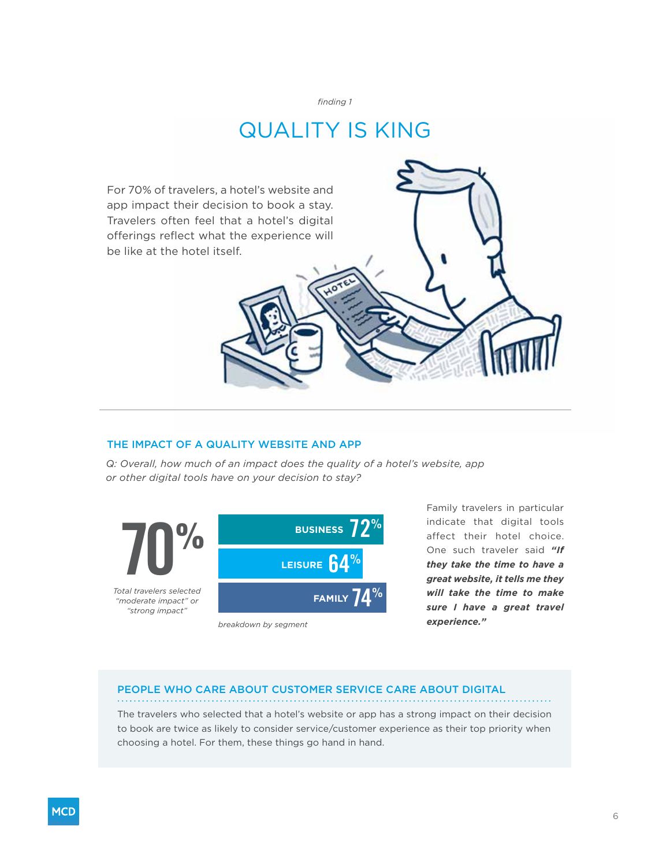## QUALITY IS KING

For 70% of travelers, a hotel's website and app impact their decision to book a stay. Travelers often feel that a hotel's digital offerings reflect what the experience will be like at the hotel itself.

### THE IMPACT OF A QUALITY WEBSITE AND APP

*Q: Overall, how much of an impact does the quality of a hotel's website, app or other digital tools have on your decision to stay?*



*breakdown by segment*

Family travelers in particular indicate that digital tools affect their hotel choice. One such traveler said *"If they take the time to have a great website, it tells me they will take the time to make sure I have a great travel experience."*

### PEOPLE WHO CARE ABOUT CUSTOMER SERVICE CARE ABOUT DIGITAL

The travelers who selected that a hotel's website or app has a strong impact on their decision to book are twice as likely to consider service/customer experience as their top priority when choosing a hotel. For them, these things go hand in hand.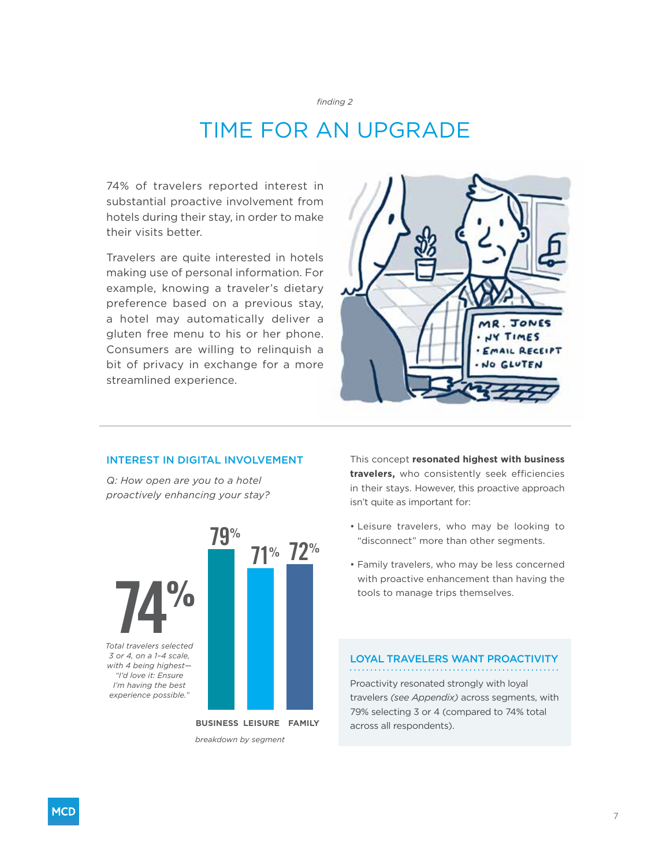## TIME FOR AN UPGRADE

74% of travelers reported interest in substantial proactive involvement from hotels during their stay, in order to make their visits better.

Travelers are quite interested in hotels making use of personal information. For example, knowing a traveler's dietary preference based on a previous stay, a hotel may automatically deliver a gluten free menu to his or her phone. Consumers are willing to relinquish a bit of privacy in exchange for a more streamlined experience.



### INTEREST IN DIGITAL INVOLVEMENT

*Q: How open are you to a hotel proactively enhancing your stay?*



This concept **resonated highest with business travelers,** who consistently seek efficiencies in their stays. However, this proactive approach isn't quite as important for:

- Leisure travelers, who may be looking to "disconnect" more than other segments.
- Family travelers, who may be less concerned with proactive enhancement than having the tools to manage trips themselves.

### LOYAL TRAVELERS WANT PROACTIVITY

Proactivity resonated strongly with loyal travelers *(see Appendix)* across segments, with 79% selecting 3 or 4 (compared to 74% total across all respondents).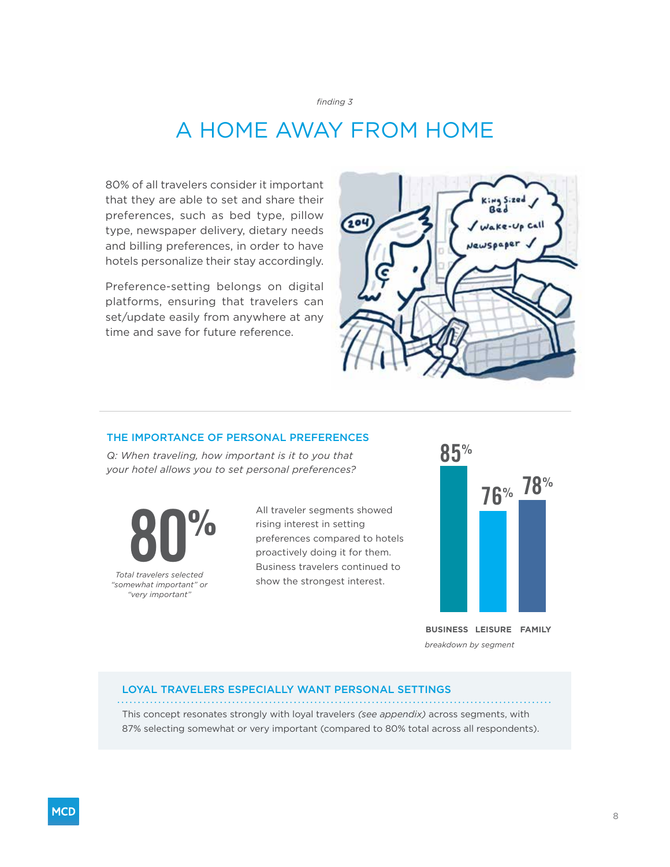# A HOME AWAY FROM HOME

80% of all travelers consider it important that they are able to set and share their preferences, such as bed type, pillow type, newspaper delivery, dietary needs and billing preferences, in order to have hotels personalize their stay accordingly.

Preference-setting belongs on digital platforms, ensuring that travelers can set/update easily from anywhere at any time and save for future reference.



### THE IMPORTANCE OF PERSONAL PREFERENCES

*Q: When traveling, how important is it to you that your hotel allows you to set personal preferences?*

**80%** *Total travelers selected "somewhat important" or "very important"*

All traveler segments showed rising interest in setting preferences compared to hotels proactively doing it for them. Business travelers continued to show the strongest interest.



**BUSINESS LEISURE FAMILY** *breakdown by segment*

#### LOYAL TRAVELERS ESPECIALLY WANT PERSONAL SETTINGS

This concept resonates strongly with loyal travelers *(see appendix)* across segments, with 87% selecting somewhat or very important (compared to 80% total across all respondents).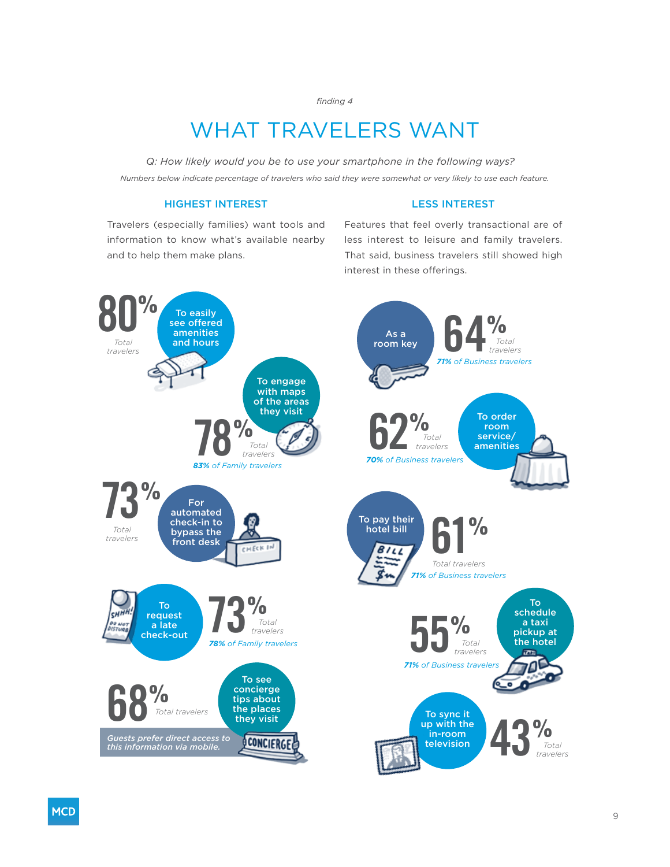## WHAT TRAVELERS WANT

*Q: How likely would you be to use your smartphone in the following ways? Numbers below indicate percentage of travelers who said they were somewhat or very likely to use each feature.*

### HIGHEST INTEREST

#### LESS INTEREST

Travelers (especially families) want tools and information to know what's available nearby and to help them make plans.

Features that feel overly transactional are of less interest to leisure and family travelers. That said, business travelers still showed high interest in these offerings.

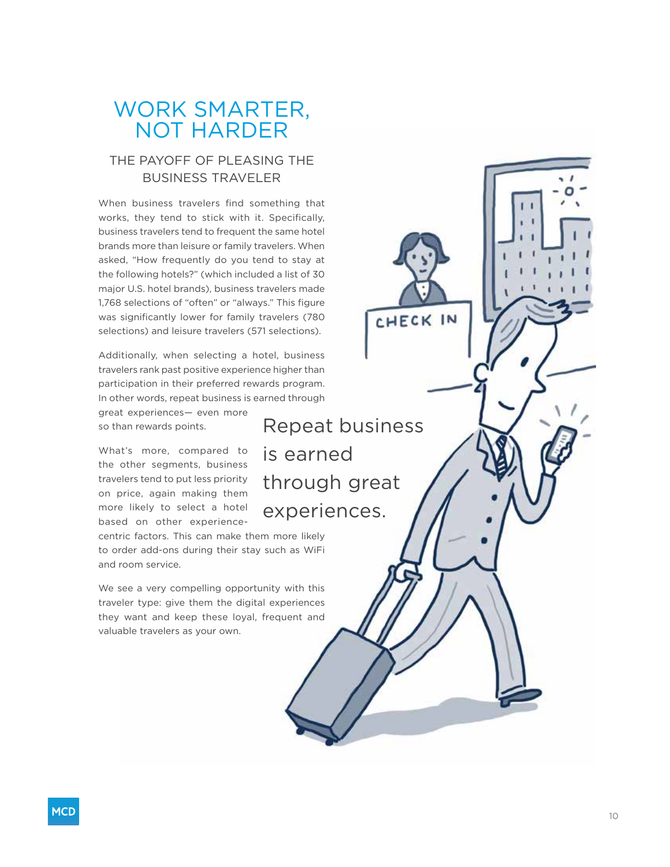### WORK SMARTER, NOT HARDER

### THE PAYOFF OF PLEASING THE BUSINESS TRAVELER

When business travelers find something that works, they tend to stick with it. Specifically, business travelers tend to frequent the same hotel brands more than leisure or family travelers. When asked, "How frequently do you tend to stay at the following hotels?" (which included a list of 30 major U.S. hotel brands), business travelers made 1,768 selections of "often" or "always." This figure was significantly lower for family travelers (780 selections) and leisure travelers (571 selections).

Additionally, when selecting a hotel, business travelers rank past positive experience higher than participation in their preferred rewards program. In other words, repeat business is earned through

great experiences— even more so than rewards points.

What's more, compared to the other segments, business travelers tend to put less priority on price, again making them more likely to select a hotel based on other experience-

centric factors. This can make them more likely to order add-ons during their stay such as WiFi and room service.

We see a very compelling opportunity with this traveler type: give them the digital experiences they want and keep these loyal, frequent and valuable travelers as your own.

Repeat business is earned through great experiences.

CHECK IN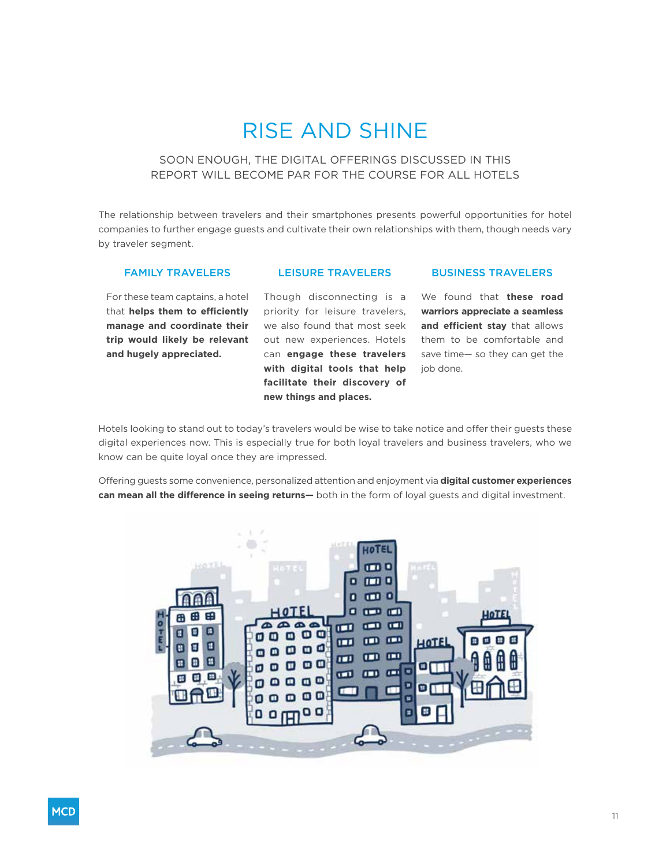# RISE AND SHINE

### SOON ENOUGH, THE DIGITAL OFFERINGS DISCUSSED IN THIS REPORT WILL BECOME PAR FOR THE COURSE FOR ALL HOTELS

The relationship between travelers and their smartphones presents powerful opportunities for hotel companies to further engage guests and cultivate their own relationships with them, though needs vary by traveler segment.

### FAMILY TRAVELERS

### LEISURE TRAVELERS

### BUSINESS TRAVELERS

For these team captains, a hotel that **helps them to efficiently manage and coordinate their trip would likely be relevant and hugely appreciated.**

Though disconnecting is a priority for leisure travelers, we also found that most seek out new experiences. Hotels can **engage these travelers with digital tools that help facilitate their discovery of new things and places.**

We found that **these road warriors appreciate a seamless and efficient stay** that allows them to be comfortable and save time— so they can get the job done.

Hotels looking to stand out to today's travelers would be wise to take notice and offer their guests these digital experiences now. This is especially true for both loyal travelers and business travelers, who we know can be quite loyal once they are impressed.

Offering guests some convenience, personalized attention and enjoyment via **digital customer experiences can mean all the difference in seeing returns—** both in the form of loyal guests and digital investment.

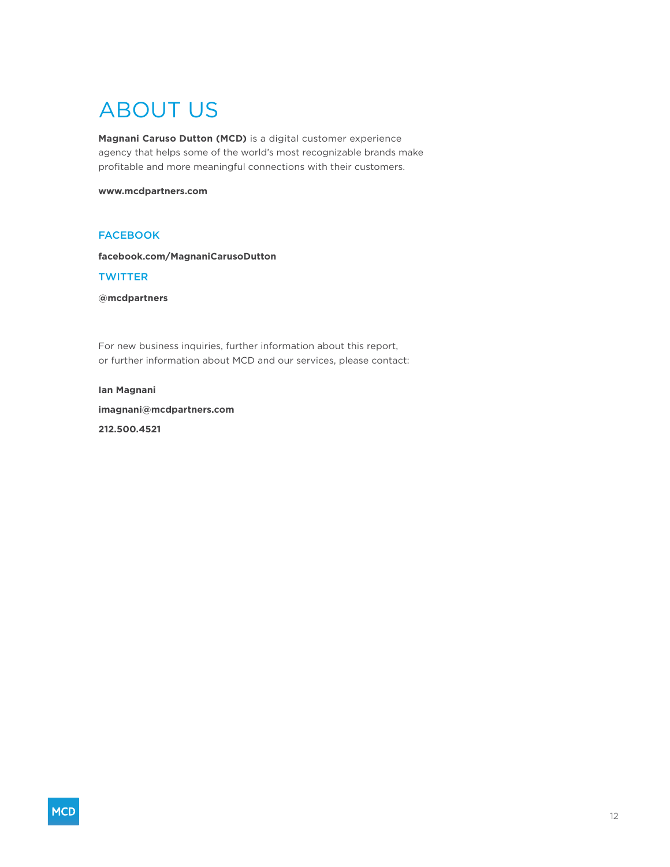# ABOUT US

**Magnani Caruso Dutton (MCD)** is a digital customer experience agency that helps some of the world's most recognizable brands make profitable and more meaningful connections with their customers.

#### **www.mcdpartners.com**

### **FACEBOOK**

**facebook.com/MagnaniCarusoDutton**

### **TWITTER**

**@mcdpartners**

For new business inquiries, further information about this report, or further information about MCD and our services, please contact:

#### **Ian Magnani**

**imagnani@mcdpartners.com 212.500.4521**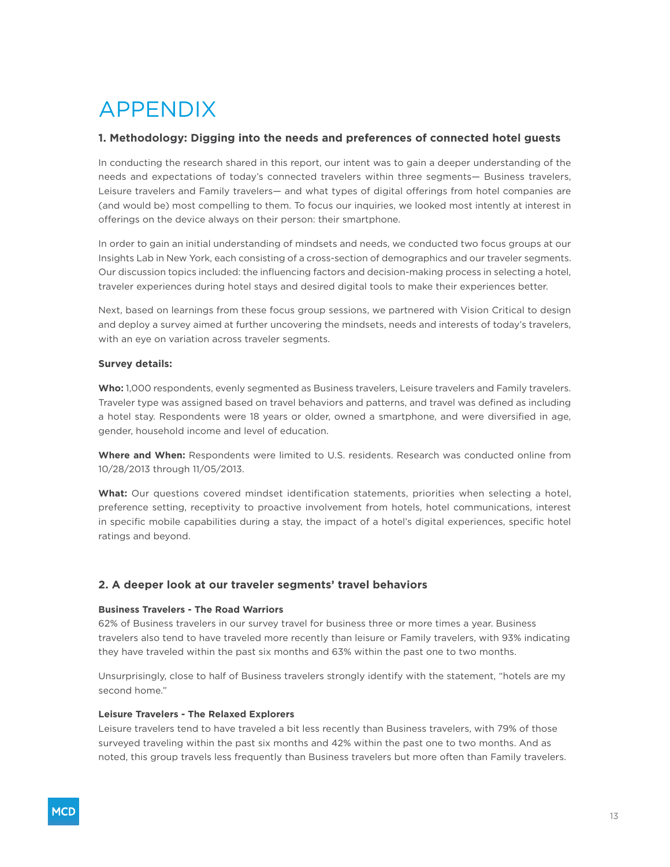# APPENDIX

### **1. Methodology: Digging into the needs and preferences of connected hotel guests**

In conducting the research shared in this report, our intent was to gain a deeper understanding of the needs and expectations of today's connected travelers within three segments— Business travelers, Leisure travelers and Family travelers— and what types of digital offerings from hotel companies are (and would be) most compelling to them. To focus our inquiries, we looked most intently at interest in offerings on the device always on their person: their smartphone.

In order to gain an initial understanding of mindsets and needs, we conducted two focus groups at our Insights Lab in New York, each consisting of a cross-section of demographics and our traveler segments. Our discussion topics included: the influencing factors and decision-making process in selecting a hotel, traveler experiences during hotel stays and desired digital tools to make their experiences better.

Next, based on learnings from these focus group sessions, we partnered with Vision Critical to design and deploy a survey aimed at further uncovering the mindsets, needs and interests of today's travelers, with an eye on variation across traveler segments.

### **Survey details:**

Who: 1,000 respondents, evenly segmented as Business travelers, Leisure travelers and Family travelers. Traveler type was assigned based on travel behaviors and patterns, and travel was defined as including a hotel stay. Respondents were 18 years or older, owned a smartphone, and were diversified in age, gender, household income and level of education.

**Where and When:** Respondents were limited to U.S. residents. Research was conducted online from 10/28/2013 through 11/05/2013.

**What:** Our questions covered mindset identification statements, priorities when selecting a hotel, preference setting, receptivity to proactive involvement from hotels, hotel communications, interest in specific mobile capabilities during a stay, the impact of a hotel's digital experiences, specific hotel ratings and beyond.

### **2. A deeper look at our traveler segments' travel behaviors**

### **Business Travelers - The Road Warriors**

62% of Business travelers in our survey travel for business three or more times a year. Business travelers also tend to have traveled more recently than leisure or Family travelers, with 93% indicating they have traveled within the past six months and 63% within the past one to two months.

Unsurprisingly, close to half of Business travelers strongly identify with the statement, "hotels are my second home."

### **Leisure Travelers - The Relaxed Explorers**

Leisure travelers tend to have traveled a bit less recently than Business travelers, with 79% of those surveyed traveling within the past six months and 42% within the past one to two months. And as noted, this group travels less frequently than Business travelers but more often than Family travelers.